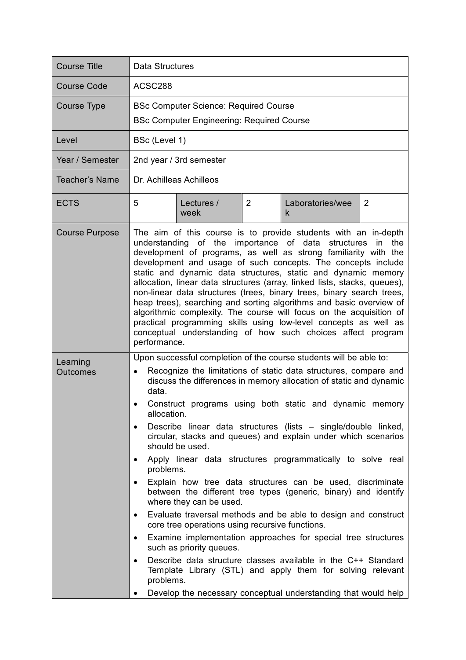| <b>Course Title</b>   | Data Structures                                                                                                                                                                                                                                                                                                                                                                                                                                                                                                                                                                                                                                                                                                                                                                                                                                                                                                                                                                                                                                                                                                                                                                      |  |  |  |
|-----------------------|--------------------------------------------------------------------------------------------------------------------------------------------------------------------------------------------------------------------------------------------------------------------------------------------------------------------------------------------------------------------------------------------------------------------------------------------------------------------------------------------------------------------------------------------------------------------------------------------------------------------------------------------------------------------------------------------------------------------------------------------------------------------------------------------------------------------------------------------------------------------------------------------------------------------------------------------------------------------------------------------------------------------------------------------------------------------------------------------------------------------------------------------------------------------------------------|--|--|--|
| Course Code           | ACSC288                                                                                                                                                                                                                                                                                                                                                                                                                                                                                                                                                                                                                                                                                                                                                                                                                                                                                                                                                                                                                                                                                                                                                                              |  |  |  |
| Course Type           | <b>BSc Computer Science: Required Course</b><br><b>BSc Computer Engineering: Required Course</b>                                                                                                                                                                                                                                                                                                                                                                                                                                                                                                                                                                                                                                                                                                                                                                                                                                                                                                                                                                                                                                                                                     |  |  |  |
| Level                 | BSc (Level 1)                                                                                                                                                                                                                                                                                                                                                                                                                                                                                                                                                                                                                                                                                                                                                                                                                                                                                                                                                                                                                                                                                                                                                                        |  |  |  |
| Year / Semester       | 2nd year / 3rd semester                                                                                                                                                                                                                                                                                                                                                                                                                                                                                                                                                                                                                                                                                                                                                                                                                                                                                                                                                                                                                                                                                                                                                              |  |  |  |
| Teacher's Name        | Dr. Achilleas Achilleos                                                                                                                                                                                                                                                                                                                                                                                                                                                                                                                                                                                                                                                                                                                                                                                                                                                                                                                                                                                                                                                                                                                                                              |  |  |  |
| <b>ECTS</b>           | 5<br>2<br>Laboratories/wee<br>$\overline{2}$<br>Lectures /<br>week<br>k                                                                                                                                                                                                                                                                                                                                                                                                                                                                                                                                                                                                                                                                                                                                                                                                                                                                                                                                                                                                                                                                                                              |  |  |  |
| <b>Course Purpose</b> | The aim of this course is to provide students with an in-depth<br>understanding of the importance of data structures<br>in<br>the<br>development of programs, as well as strong familiarity with the<br>development and usage of such concepts. The concepts include<br>static and dynamic data structures, static and dynamic memory<br>allocation, linear data structures (array, linked lists, stacks, queues),<br>non-linear data structures (trees, binary trees, binary search trees,<br>heap trees), searching and sorting algorithms and basic overview of<br>algorithmic complexity. The course will focus on the acquisition of<br>practical programming skills using low-level concepts as well as<br>conceptual understanding of how such choices affect program<br>performance.                                                                                                                                                                                                                                                                                                                                                                                         |  |  |  |
| Learning<br>Outcomes  | Upon successful completion of the course students will be able to:<br>Recognize the limitations of static data structures, compare and<br>discuss the differences in memory allocation of static and dynamic<br>data.<br>Construct programs using both static and dynamic memory<br>allocation.<br>Describe linear data structures (lists – single/double linked,<br>٠<br>circular, stacks and queues) and explain under which scenarios<br>should be used.<br>Apply linear data structures programmatically to solve real<br>$\bullet$<br>problems.<br>Explain how tree data structures can be used, discriminate<br>$\bullet$<br>between the different tree types (generic, binary) and identify<br>where they can be used.<br>Evaluate traversal methods and be able to design and construct<br>٠<br>core tree operations using recursive functions.<br>Examine implementation approaches for special tree structures<br>٠<br>such as priority queues.<br>Describe data structure classes available in the C++ Standard<br>$\bullet$<br>Template Library (STL) and apply them for solving relevant<br>problems.<br>Develop the necessary conceptual understanding that would help |  |  |  |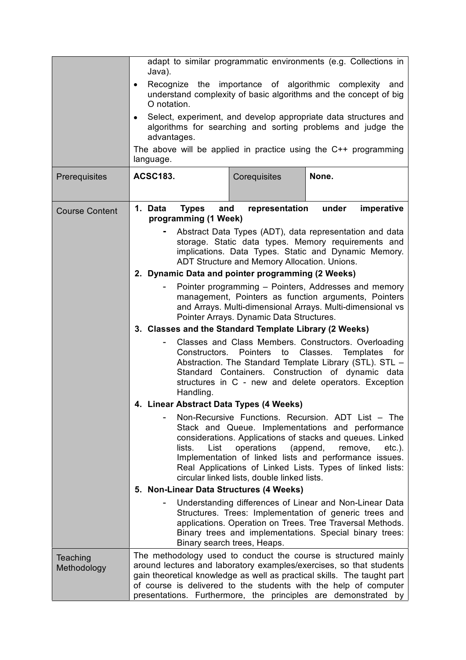|                         | adapt to similar programmatic environments (e.g. Collections in<br>Java).                                                                                                                                              |                                                           |                                                                                                                                                                                                                                                                                                                                                         |  |
|-------------------------|------------------------------------------------------------------------------------------------------------------------------------------------------------------------------------------------------------------------|-----------------------------------------------------------|---------------------------------------------------------------------------------------------------------------------------------------------------------------------------------------------------------------------------------------------------------------------------------------------------------------------------------------------------------|--|
|                         | Recognize the importance of algorithmic complexity<br>and<br>$\bullet$<br>understand complexity of basic algorithms and the concept of big<br>O notation.                                                              |                                                           |                                                                                                                                                                                                                                                                                                                                                         |  |
|                         | $\bullet$<br>advantages.                                                                                                                                                                                               |                                                           | Select, experiment, and develop appropriate data structures and<br>algorithms for searching and sorting problems and judge the                                                                                                                                                                                                                          |  |
|                         | language.                                                                                                                                                                                                              |                                                           | The above will be applied in practice using the $C++$ programming                                                                                                                                                                                                                                                                                       |  |
| Prerequisites           | <b>ACSC183.</b>                                                                                                                                                                                                        | Corequisites                                              | None.                                                                                                                                                                                                                                                                                                                                                   |  |
| <b>Course Content</b>   | 1. Data<br><b>Types</b><br>and<br>programming (1 Week)                                                                                                                                                                 | representation under                                      | imperative                                                                                                                                                                                                                                                                                                                                              |  |
|                         | Abstract Data Types (ADT), data representation and data<br>storage. Static data types. Memory requirements and<br>implications. Data Types. Static and Dynamic Memory.<br>ADT Structure and Memory Allocation. Unions. |                                                           |                                                                                                                                                                                                                                                                                                                                                         |  |
|                         | 2. Dynamic Data and pointer programming (2 Weeks)                                                                                                                                                                      |                                                           |                                                                                                                                                                                                                                                                                                                                                         |  |
|                         |                                                                                                                                                                                                                        | Pointer Arrays. Dynamic Data Structures.                  | Pointer programming - Pointers, Addresses and memory<br>management, Pointers as function arguments, Pointers<br>and Arrays. Multi-dimensional Arrays. Multi-dimensional vs                                                                                                                                                                              |  |
|                         | 3. Classes and the Standard Template Library (2 Weeks)                                                                                                                                                                 |                                                           |                                                                                                                                                                                                                                                                                                                                                         |  |
|                         | Constructors.<br>Handling.                                                                                                                                                                                             | <b>Pointers</b><br>to                                     | Classes and Class Members. Constructors. Overloading<br>Classes.<br>Templates<br>for<br>Abstraction. The Standard Template Library (STL). STL -<br>Standard Containers. Construction of dynamic data<br>structures in C - new and delete operators. Exception                                                                                           |  |
|                         | 4. Linear Abstract Data Types (4 Weeks)                                                                                                                                                                                |                                                           |                                                                                                                                                                                                                                                                                                                                                         |  |
|                         | lists.<br>List                                                                                                                                                                                                         | operations<br>circular linked lists, double linked lists. | Non-Recursive Functions. Recursion. ADT List - The<br>Stack and Queue. Implementations and performance<br>considerations. Applications of stacks and queues. Linked<br>(append,<br>remove,<br>$etc.$ ).<br>Implementation of linked lists and performance issues.<br>Real Applications of Linked Lists. Types of linked lists:                          |  |
|                         | 5. Non-Linear Data Structures (4 Weeks)                                                                                                                                                                                |                                                           |                                                                                                                                                                                                                                                                                                                                                         |  |
|                         |                                                                                                                                                                                                                        | Binary search trees, Heaps.                               | Understanding differences of Linear and Non-Linear Data<br>Structures. Trees: Implementation of generic trees and<br>applications. Operation on Trees. Tree Traversal Methods.<br>Binary trees and implementations. Special binary trees:                                                                                                               |  |
| Teaching<br>Methodology |                                                                                                                                                                                                                        |                                                           | The methodology used to conduct the course is structured mainly<br>around lectures and laboratory examples/exercises, so that students<br>gain theoretical knowledge as well as practical skills. The taught part<br>of course is delivered to the students with the help of computer<br>presentations. Furthermore, the principles are demonstrated by |  |